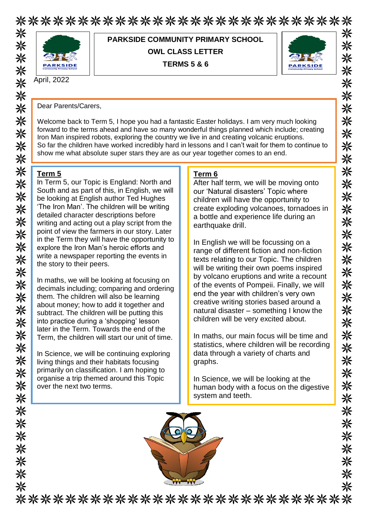# \*\*\*\*\*\*\*\*\*\*\*\*\*\*\*\*\*\*\*\*\*\*\*\*\*\*\* \*\*\*\*\*\*\*\*\*\*\*\*\* 米



**PARKSIDE COMMUNITY PRIMARY SCHOOL OWL CLASS LETTER TERMS 5 & 6**



米

米

米

米

米 ☀ ※

米

米

米

米

米

米

米

米

米 米

米

米

米

米

米

米

※ 米

米

米

米

☀

米

米

米

米

米

米 米

April, 2022

Dear Parents/Carers,

Welcome back to Term 5, I hope you had a fantastic Easter holidays. I am very much looking forward to the terms ahead and have so many wonderful things planned which include; creating Iron Man inspired robots, exploring the country we live in and creating volcanic eruptions. So far the children have worked incredibly hard in lessons and I can't wait for them to continue to show me what absolute super stars they are as our year together comes to an end.

#### **Term 5**

米米米米米

※

米米米米米米米

米米米米米

头头头

※

\*\*\*\*\*\*\*\*

In Term 5, our Topic is England: North and South and as part of this, in English, we will be looking at English author Ted Hughes 'The Iron Man'. The children will be writing detailed character descriptions before writing and acting out a play script from the point of view the farmers in our story. Later in the Term they will have the opportunity to explore the Iron Man's heroic efforts and write a newspaper reporting the events in the story to their peers.

In maths, we will be looking at focusing on decimals including; comparing and ordering them. The children will also be learning about money; how to add it together and subtract. The children will be putting this into practice during a 'shopping' lesson later in the Term. Towards the end of the Term, the children will start our unit of time.

In Science, we will be continuing exploring living things and their habitats focusing primarily on classification. I am hoping to organise a trip themed around this Topic over the next two terms.

#### **Term 6**

After half term, we will be moving onto our 'Natural disasters' Topic where children will have the opportunity to create exploding volcanoes, tornadoes in a bottle and experience life during an earthquake drill.

In English we will be focussing on a range of different fiction and non-fiction texts relating to our Topic. The children will be writing their own poems inspired by volcano eruptions and write a recount of the events of Pompeii. Finally, we will end the year with children's very own creative writing stories based around a natural disaster – something I know the children will be very excited about.

In maths, our main focus will be time and statistics, where children will be recording data through a variety of charts and graphs.

In Science, we will be looking at the human body with a focus on the digestive system and teeth.



\*\*\*\*\*\*\*\*\*\*\*\*\*\*\*\*\*\*\*\*\*\*\*\*\*\*\*